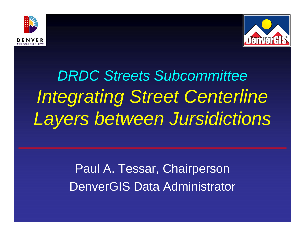



**DRDC Streets Subcommittee Integrating Street Centerline** Layers between Jursidictions

> Paul A. Tessar, Chairperson **DenverGIS Data Administrator**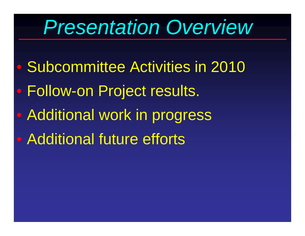### *Presentation Overview*

- $\bigcirc$ Subcommittee Activities in 2010
- $\bigcirc$ Follow-on Project results.
- $\bigcirc$ Additional work in progress
- Additional future efforts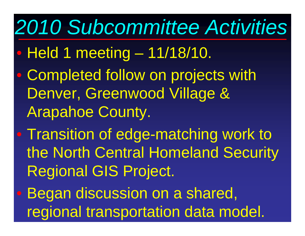## *2010 Subcommittee Activities*

- $\bigcirc$ Held 1 meeting – 11/18/10.
- $\bigcirc$ • Completed follow on projects with Denver, Greenwood Village & Arapahoe County.
- $\bullet$  Transition of edge-matching work to the North Central Homeland Security Regional GIS Project.
- $\bullet$  Began discussion on a shared, regional transportation data model.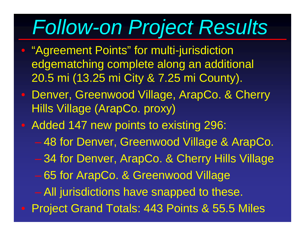# *Follow-on Project Results*

- $\bigcap$  "Agreement Points" for multi-jurisdiction edgematching complete along an additional 20.5 mi (13.25 mi City & 7.25 mi County).
- Denver, Greenwood Village, ArapCo. & Cherry Hills Village (ArapCo. proxy)
- Added 147 new points to existing 296:
	- 48 for Denver, Greenwood Village & ArapCo.
	- 34 for Denver, ArapCo. & Cherry Hills Village
	- 65 for ArapCo. & Greenwood Village
	- $-$  All jurisdictions have snapped to these.
- Project Grand Totals: 443 Points & 55.5 Miles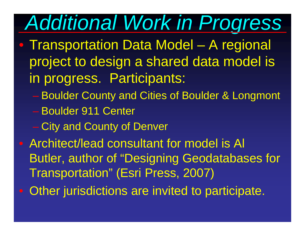#### *Additional Work in Progres s*

- Transportation Data Model  $\mathcal{L}_{\mathcal{A}}$  , and the set of the set of the set of the set of the set of the set of the set of the set of the set of the set of the set of the set of the set of the set of the set of the set of the set of the set of th A regional project to design a shared data model is in progress. Participants:
	- Boulder County and Cities of Boulder & Longmont
	- Boulder 911 Center
	- City and County of Denver
- Architect/lead consultant for model is Al Butler, author of "Designing Geodatabases for Transportation" (Esri Press, 2007)
- Other jurisdictions are invited to participate.